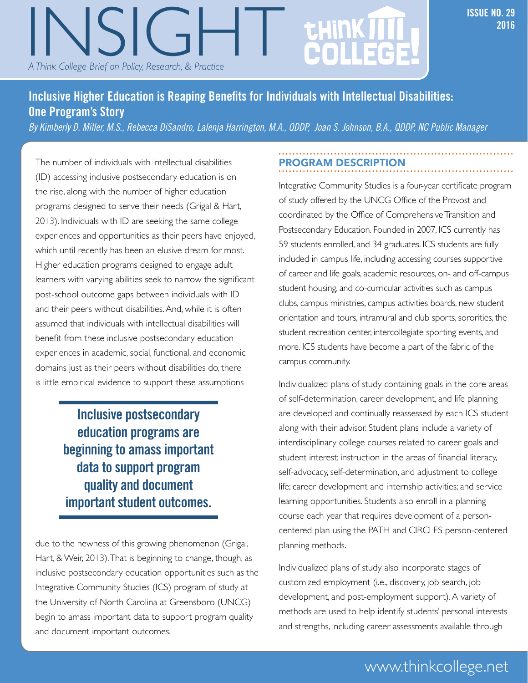# **2016**<br>A Think College Brief on Policy, Research, & Practice Processor Research, and Processor Research, and Processor Research, and Processor Research, and Processor Research, and Processor Research, and Processor Researc *A Think College Brief on Policy, Research, & Practice*

# **INSIGHT: A THINK COLLEGE BRIEF ON POLICY, RESEARCH, RESEARCH, RESEARCH, 29**

#### **Inclusive Higher Education is Reaping Benefits for Individuals with Intellectual Disabilities: One Program's Story**

*By Kimberly D. Miller, M.S., Rebecca DiSandro, Lalenja Harrington, M.A., QDDP, Joan S. Johnson, B.A., QDDP, NC Public Manager*

The number of individuals with intellectual disabilities (ID) accessing inclusive postsecondary education is on the rise, along with the number of higher education programs designed to serve their needs (Grigal & Hart, 2013). Individuals with ID are seeking the same college experiences and opportunities as their peers have enjoyed, which until recently has been an elusive dream for most. Higher education programs designed to engage adult learners with varying abilities seek to narrow the significant post-school outcome gaps between individuals with ID and their peers without disabilities. And, while it is often assumed that individuals with intellectual disabilities will benefit from these inclusive postsecondary education experiences in academic, social, functional, and economic domains just as their peers without disabilities do, there is little empirical evidence to support these assumptions

> **Inclusive postsecondary education programs are beginning to amass important data to support program quality and document important student outcomes.**

due to the newness of this growing phenomenon (Grigal, Hart, & Weir, 2013). That is beginning to change, though, as inclusive postsecondary education opportunities such as the Integrative Community Studies (ICS) program of study at the University of North Carolina at Greensboro (UNCG) begin to amass important data to support program quality and document important outcomes.

#### PROGRAM DESCRIPTION

Integrative Community Studies is a four-year certificate program of study offered by the UNCG Office of the Provost and coordinated by the Office of Comprehensive Transition and Postsecondary Education. Founded in 2007, ICS currently has 59 students enrolled, and 34 graduates. ICS students are fully included in campus life, including accessing courses supportive of career and life goals, academic resources, on- and off-campus student housing, and co-curricular activities such as campus clubs, campus ministries, campus activities boards, new student orientation and tours, intramural and club sports, sororities, the student recreation center, intercollegiate sporting events, and more. ICS students have become a part of the fabric of the campus community.

Individualized plans of study containing goals in the core areas of self-determination, career development, and life planning are developed and continually reassessed by each ICS student along with their advisor. Student plans include a variety of interdisciplinary college courses related to career goals and student interest; instruction in the areas of financial literacy, self-advocacy, self-determination, and adjustment to college life; career development and internship activities; and service learning opportunities. Students also enroll in a planning course each year that requires development of a personcentered plan using the PATH and CIRCLES person-centered planning methods.

Individualized plans of study also incorporate stages of customized employment (i.e., discovery, job search, job development, and post-employment support). A variety of methods are used to help identify students' personal interests and strengths, including career assessments available through

### Inclusive Higher Education is Reaping Benefits for Individuals with Intellectual Disabilities: One Program's Story • 1 www.thinkcollege.net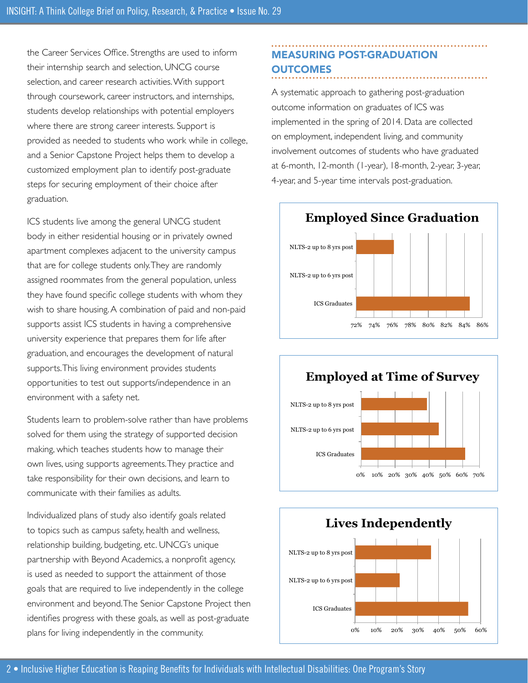the Career Services Office. Strengths are used to inform their internship search and selection, UNCG course selection, and career research activities. With support through coursework, career instructors, and internships, students develop relationships with potential employers where there are strong career interests. Support is provided as needed to students who work while in college, and a Senior Capstone Project helps them to develop a customized employment plan to identify post-graduate steps for securing employment of their choice after graduation.

ICS students live among the general UNCG student body in either residential housing or in privately owned apartment complexes adjacent to the university campus that are for college students only. They are randomly assigned roommates from the general population, unless they have found specific college students with whom they wish to share housing. A combination of paid and non-paid supports assist ICS students in having a comprehensive university experience that prepares them for life after graduation, and encourages the development of natural supports. This living environment provides students opportunities to test out supports/independence in an environment with a safety net.

Students learn to problem-solve rather than have problems solved for them using the strategy of supported decision making, which teaches students how to manage their own lives, using supports agreements. They practice and take responsibility for their own decisions, and learn to communicate with their families as adults.

Individualized plans of study also identify goals related to topics such as campus safety, health and wellness, relationship building, budgeting, etc. UNCG's unique partnership with Beyond Academics, a nonprofit agency, is used as needed to support the attainment of those goals that are required to live independently in the college environment and beyond. The Senior Capstone Project then identifies progress with these goals, as well as post-graduate plans for living independently in the community.

#### MEASURING POST-GRADUATION **OUTCOMES**

A systematic approach to gathering post-graduation outcome information on graduates of ICS was implemented in the spring of 2014. Data are collected on employment, independent living, and community involvement outcomes of students who have graduated at 6-month, 12-month (1-year), 18-month, 2-year, 3-year, 4-year, and 5-year time intervals post-graduation.





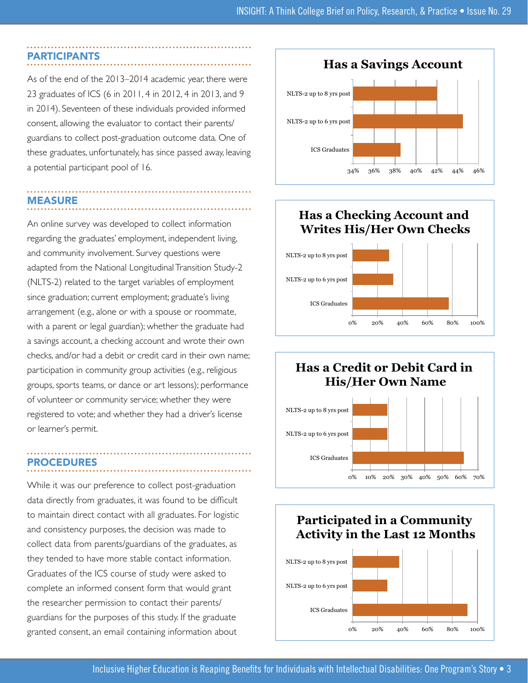#### PARTICIPANTS

As of the end of the 2013–2014 academic year, there were 23 graduates of ICS (6 in 2011, 4 in 2012, 4 in 2013, and 9 in 2014). Seventeen of these individuals provided informed consent, allowing the evaluator to contact their parents/ guardians to collect post-graduation outcome data. One of these graduates, unfortunately, has since passed away, leaving a potential participant pool of 16.

# MEASURE

An online survey was developed to collect information regarding the graduates' employment, independent living, and community involvement. Survey questions were adapted from the National Longitudinal Transition Study-2 (NLTS-2) related to the target variables of employment since graduation; current employment; graduate's living arrangement (e.g., alone or with a spouse or roommate, with a parent or legal guardian); whether the graduate had a savings account, a checking account and wrote their own checks, and/or had a debit or credit card in their own name; participation in community group activities (e.g., religious groups, sports teams, or dance or art lessons); performance of volunteer or community service; whether they were registered to vote; and whether they had a driver's license or learner's permit.

#### PROCEDURES

While it was our preference to collect post-graduation data directly from graduates, it was found to be difficult to maintain direct contact with all graduates. For logistic and consistency purposes, the decision was made to collect data from parents/guardians of the graduates, as they tended to have more stable contact information. Graduates of the ICS course of study were asked to complete an informed consent form that would grant the researcher permission to contact their parents/ guardians for the purposes of this study. If the graduate granted consent, an email containing information about



#### **Has a Checking Account and Writes His/Her Own Checks**





#### **Participated in a Community Activity in the Last 12 Months**

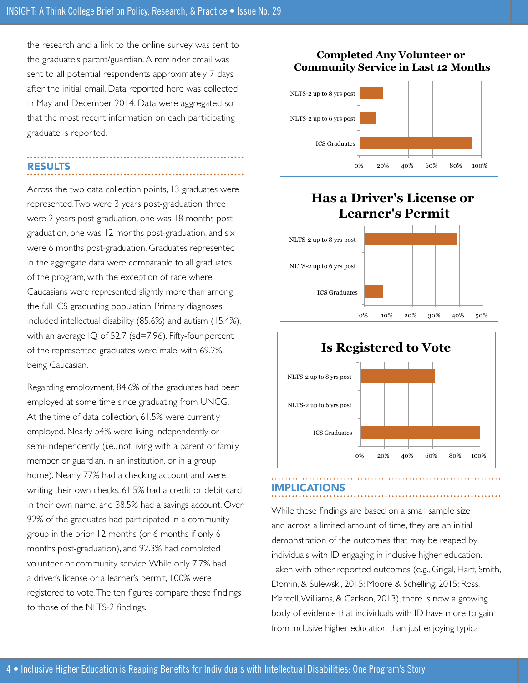the research and a link to the online survey was sent to the graduate's parent/guardian. A reminder email was sent to all potential respondents approximately 7 days after the initial email. Data reported here was collected in May and December 2014. Data were aggregated so that the most recent information on each participating graduate is reported.

## RESULTS

Across the two data collection points, 13 graduates were represented. Two were 3 years post-graduation, three were 2 years post-graduation, one was 18 months postgraduation, one was 12 months post-graduation, and six were 6 months post-graduation. Graduates represented in the aggregate data were comparable to all graduates of the program, with the exception of race where Caucasians were represented slightly more than among the full ICS graduating population. Primary diagnoses included intellectual disability (85.6%) and autism (15.4%), with an average IQ of 52.7 (sd=7.96). Fifty-four percent of the represented graduates were male, with 69.2% being Caucasian.

Regarding employment, 84.6% of the graduates had been employed at some time since graduating from UNCG. At the time of data collection, 61.5% were currently employed. Nearly 54% were living independently or semi-independently (i.e., not living with a parent or family member or guardian, in an institution, or in a group home). Nearly 77% had a checking account and were writing their own checks, 61.5% had a credit or debit card in their own name, and 38.5% had a savings account. Over 92% of the graduates had participated in a community group in the prior 12 months (or 6 months if only 6 months post-graduation), and 92.3% had completed volunteer or community service. While only 7.7% had a driver's license or a learner's permit, 100% were registered to vote. The ten figures compare these findings to those of the NLTS-2 findings.

#### **Completed Any Volunteer or Community Service in Last 12 Months**



#### **Has a Driver's License or Learner's Permit**





#### IMPLICATIONS

While these findings are based on a small sample size and across a limited amount of time, they are an initial demonstration of the outcomes that may be reaped by individuals with ID engaging in inclusive higher education. Taken with other reported outcomes (e.g., Grigal, Hart, Smith, Domin, & Sulewski, 2015; Moore & Schelling, 2015; Ross, Marcell, Williams, & Carlson, 2013), there is now a growing body of evidence that individuals with ID have more to gain from inclusive higher education than just enjoying typical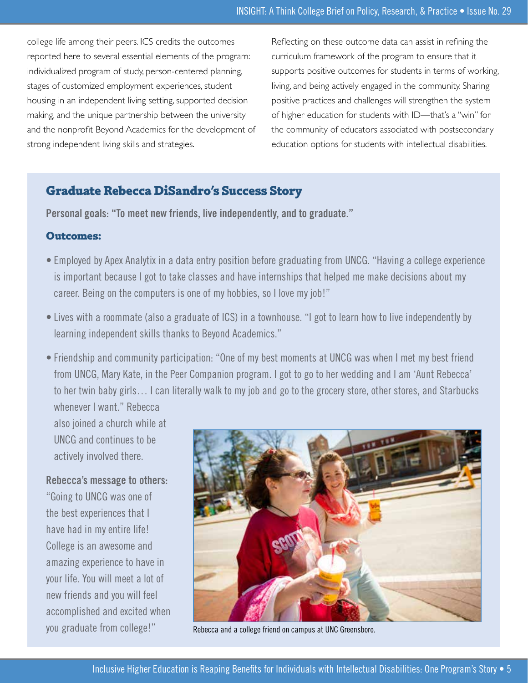college life among their peers. ICS credits the outcomes reported here to several essential elements of the program: individualized program of study, person-centered planning, stages of customized employment experiences, student housing in an independent living setting, supported decision making, and the unique partnership between the university and the nonprofit Beyond Academics for the development of strong independent living skills and strategies.

Reflecting on these outcome data can assist in refining the curriculum framework of the program to ensure that it supports positive outcomes for students in terms of working, living, and being actively engaged in the community. Sharing positive practices and challenges will strengthen the system of higher education for students with ID—that's a "win" for the community of educators associated with postsecondary education options for students with intellectual disabilities.

#### **Graduate Rebecca DiSandro's Success Story**

**Personal goals: "To meet new friends, live independently, and to graduate."**

#### **Outcomes:**

- Employed by Apex Analytix in a data entry position before graduating from UNCG. "Having a college experience is important because I got to take classes and have internships that helped me make decisions about my career. Being on the computers is one of my hobbies, so I love my job!"
- Lives with a roommate (also a graduate of ICS) in a townhouse. "I got to learn how to live independently by learning independent skills thanks to Beyond Academics."
- Friendship and community participation: "One of my best moments at UNCG was when I met my best friend from UNCG, Mary Kate, in the Peer Companion program. I got to go to her wedding and I am 'Aunt Rebecca' to her twin baby girls… I can literally walk to my job and go to the grocery store, other stores, and Starbucks

whenever I want." Rebecca also joined a church while at UNCG and continues to be actively involved there.

**Rebecca's message to others:**  "Going to UNCG was one of the best experiences that I have had in my entire life! College is an awesome and amazing experience to have in your life. You will meet a lot of new friends and you will feel accomplished and excited when you graduate from college!"



Rebecca and a college friend on campus at UNC Greensboro.